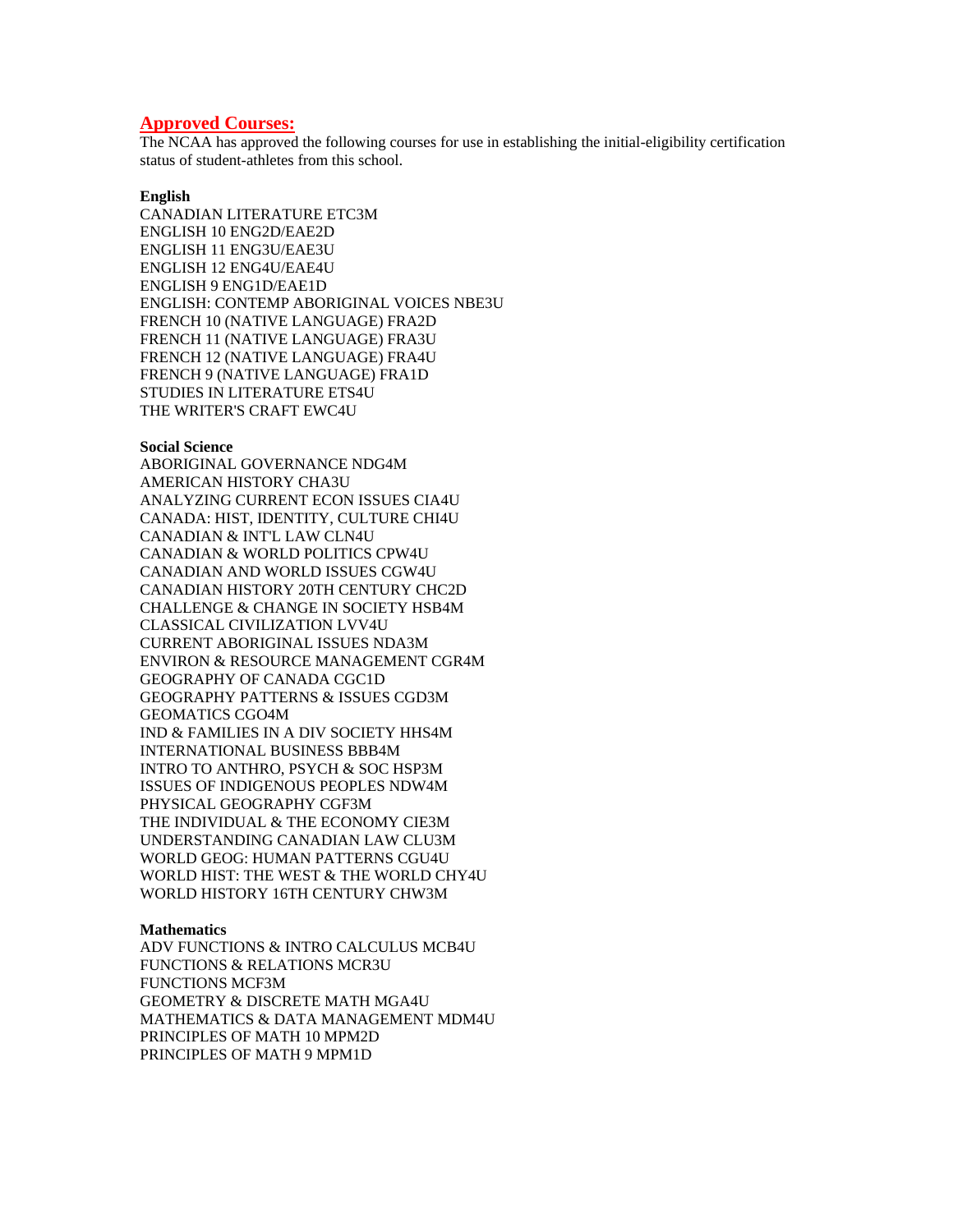# **Approved Courses:**

The NCAA has approved the following courses for use in establishing the initial-eligibility certification status of student-athletes from this school.

### **English**

CANADIAN LITERATURE ETC3M ENGLISH 10 ENG2D/EAE2D ENGLISH 11 ENG3U/EAE3U ENGLISH 12 ENG4U/EAE4U ENGLISH 9 ENG1D/EAE1D ENGLISH: CONTEMP ABORIGINAL VOICES NBE3U FRENCH 10 (NATIVE LANGUAGE) FRA2D FRENCH 11 (NATIVE LANGUAGE) FRA3U FRENCH 12 (NATIVE LANGUAGE) FRA4U FRENCH 9 (NATIVE LANGUAGE) FRA1D STUDIES IN LITERATURE ETS4U THE WRITER'S CRAFT EWC4U

#### **Social Science**

ABORIGINAL GOVERNANCE NDG4M AMERICAN HISTORY CHA3U ANALYZING CURRENT ECON ISSUES CIA4U CANADA: HIST, IDENTITY, CULTURE CHI4U CANADIAN & INT'L LAW CLN4U CANADIAN & WORLD POLITICS CPW4U CANADIAN AND WORLD ISSUES CGW4U CANADIAN HISTORY 20TH CENTURY CHC2D CHALLENGE & CHANGE IN SOCIETY HSB4M CLASSICAL CIVILIZATION LVV4U CURRENT ABORIGINAL ISSUES NDA3M ENVIRON & RESOURCE MANAGEMENT CGR4M GEOGRAPHY OF CANADA CGC1D GEOGRAPHY PATTERNS & ISSUES CGD3M GEOMATICS CGO4M IND & FAMILIES IN A DIV SOCIETY HHS4M INTERNATIONAL BUSINESS BBB4M INTRO TO ANTHRO, PSYCH & SOC HSP3M ISSUES OF INDIGENOUS PEOPLES NDW4M PHYSICAL GEOGRAPHY CGF3M THE INDIVIDUAL & THE ECONOMY CIE3M UNDERSTANDING CANADIAN LAW CLU3M WORLD GEOG: HUMAN PATTERNS CGU4U WORLD HIST: THE WEST & THE WORLD CHY4U WORLD HISTORY 16TH CENTURY CHW3M

#### **Mathematics**

ADV FUNCTIONS & INTRO CALCULUS MCB4U FUNCTIONS & RELATIONS MCR3U FUNCTIONS MCF3M GEOMETRY & DISCRETE MATH MGA4U MATHEMATICS & DATA MANAGEMENT MDM4U PRINCIPLES OF MATH 10 MPM2D PRINCIPLES OF MATH 9 MPM1D